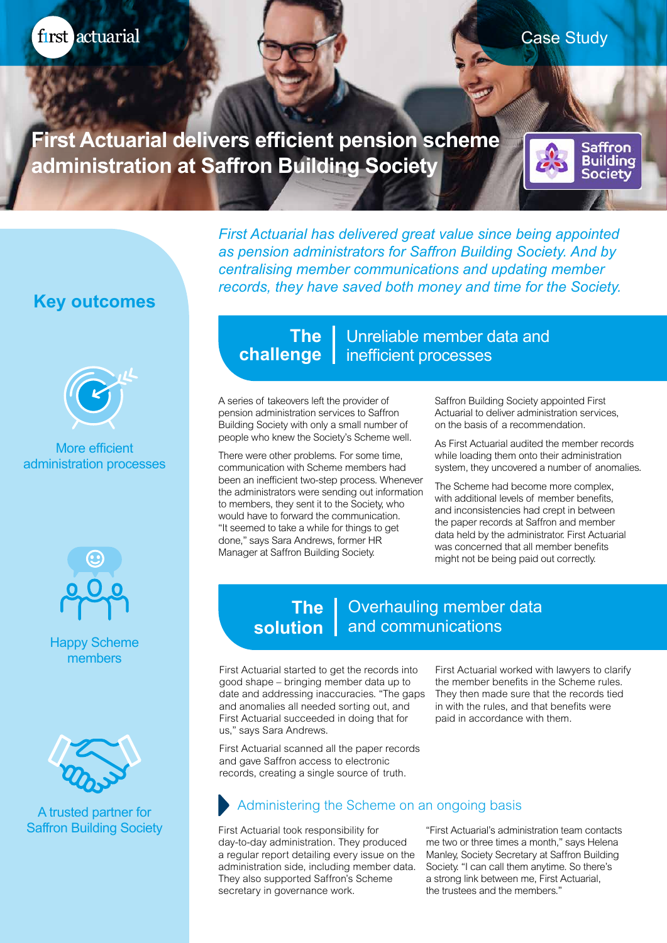first actuarial

Saffron **Building** Society

**First Actuarial delivers efficient pension scheme administration at Saffron Building Society**

> *First Actuarial has delivered great value since being appointed as pension administrators for Saffron Building Society. And by centralising member communications and updating member records, they have saved both money and time for the Society.*

# **Key outcomes**



#### More efficient administration processes



Happy Scheme members



A trusted partner for Saffron Building Society

## **The** | Unreliable member data and **challenge** | inefficient processes

A series of takeovers left the provider of pension administration services to Saffron Building Society with only a small number of people who knew the Society's Scheme well.

There were other problems. For some time, communication with Scheme members had been an inefficient two-step process. Whenever the administrators were sending out information to members, they sent it to the Society, who would have to forward the communication. "It seemed to take a while for things to get done," says Sara Andrews, former HR Manager at Saffron Building Society.

Saffron Building Society appointed First Actuarial to deliver administration services, on the basis of a recommendation.

As First Actuarial audited the member records while loading them onto their administration system, they uncovered a number of anomalies.

The Scheme had become more complex, with additional levels of member benefits, and inconsistencies had crept in between the paper records at Saffron and member data held by the administrator. First Actuarial was concerned that all member benefits might not be being paid out correctly.

#### Overhauling member data **solution** | and communications **The**

First Actuarial started to get the records into good shape – bringing member data up to date and addressing inaccuracies. "The gaps and anomalies all needed sorting out, and First Actuarial succeeded in doing that for us," says Sara Andrews.

First Actuarial scanned all the paper records and gave Saffron access to electronic records, creating a single source of truth.

First Actuarial worked with lawyers to clarify the member benefits in the Scheme rules. They then made sure that the records tied in with the rules, and that benefits were paid in accordance with them.

### Administering the Scheme on an ongoing basis

First Actuarial took responsibility for day-to-day administration. They produced a regular report detailing every issue on the administration side, including member data. They also supported Saffron's Scheme secretary in governance work.

"First Actuarial's administration team contacts me two or three times a month," says Helena Manley, Society Secretary at Saffron Building Society. "I can call them anytime. So there's a strong link between me, First Actuarial, the trustees and the members."